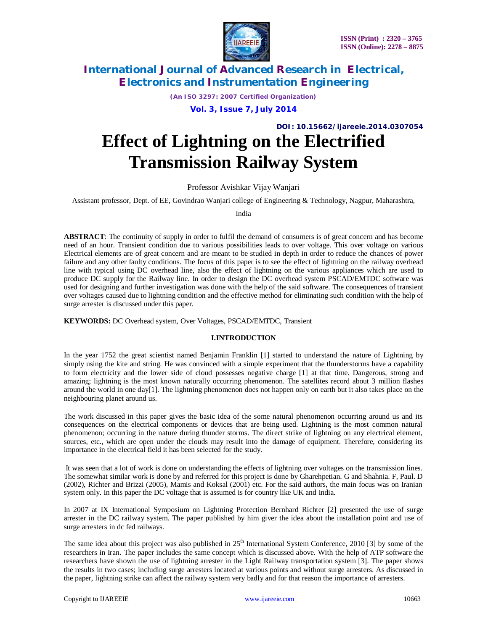

*(An ISO 3297: 2007 Certified Organization)*

**Vol. 3, Issue 7, July 2014**

**DOI: 10.15662/ijareeie.2014.0307054**

# **Effect of Lightning on the Electrified Transmission Railway System**

Professor Avishkar Vijay Wanjari

Assistant professor, Dept. of EE, Govindrao Wanjari college of Engineering & Technology, Nagpur, Maharashtra,

India

**ABSTRACT**: The continuity of supply in order to fulfil the demand of consumers is of great concern and has become need of an hour. Transient condition due to various possibilities leads to over voltage. This over voltage on various Electrical elements are of great concern and are meant to be studied in depth in order to reduce the chances of power failure and any other faulty conditions. The focus of this paper is to see the effect of lightning on the railway overhead line with typical using DC overhead line, also the effect of lightning on the various appliances which are used to produce DC supply for the Railway line. In order to design the DC overhead system PSCAD/EMTDC software was used for designing and further investigation was done with the help of the said software. The consequences of transient over voltages caused due to lightning condition and the effective method for eliminating such condition with the help of surge arrester is discussed under this paper.

**KEYWORDS:** DC Overhead system, Over Voltages, PSCAD/EMTDC, Transient

### **I.INTRODUCTION**

In the year 1752 the great scientist named Benjamin Franklin [1] started to understand the nature of Lightning by simply using the kite and string. He was convinced with a simple experiment that the thunderstorms have a capability to form electricity and the lower side of cloud possesses negative charge [1] at that time. Dangerous, strong and amazing; lightning is the most known naturally occurring phenomenon. The satellites record about 3 million flashes around the world in one day[1]. The lightning phenomenon does not happen only on earth but it also takes place on the neighbouring planet around us.

The work discussed in this paper gives the basic idea of the some natural phenomenon occurring around us and its consequences on the electrical components or devices that are being used. Lightning is the most common natural phenomenon; occurring in the nature during thunder storms. The direct strike of lightning on any electrical element, sources, etc., which are open under the clouds may result into the damage of equipment. Therefore, considering its importance in the electrical field it has been selected for the study.

It was seen that a lot of work is done on understanding the effects of lightning over voltages on the transmission lines. The somewhat similar work is done by and referred for this project is done by Gharehpetian. G and Shahnia. F, Paul. D (2002), Richter and Brizzi (2005), Mamis and Koksal (2001) etc. For the said authors, the main focus was on Iranian system only. In this paper the DC voltage that is assumed is for country like UK and India.

In 2007 at IX International Symposium on Lightning Protection Bernhard Richter [2] presented the use of surge arrester in the DC railway system. The paper published by him giver the idea about the installation point and use of surge arresters in dc fed railways.

The same idea about this project was also published in 25<sup>th</sup> International System Conference, 2010 [3] by some of the researchers in Iran. The paper includes the same concept which is discussed above. With the help of ATP software the researchers have shown the use of lightning arrester in the Light Railway transportation system [3]. The paper shows the results in two cases; including surge arresters located at various points and without surge arresters. As discussed in the paper, lightning strike can affect the railway system very badly and for that reason the importance of arresters.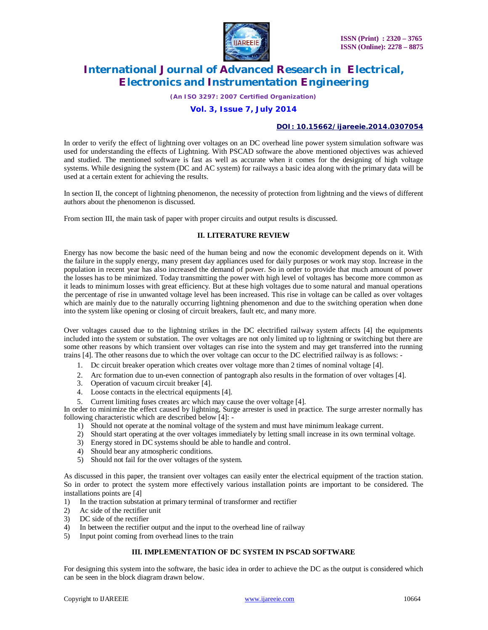

*(An ISO 3297: 2007 Certified Organization)*

### **Vol. 3, Issue 7, July 2014**

#### **DOI: 10.15662/ijareeie.2014.0307054**

In order to verify the effect of lightning over voltages on an DC overhead line power system simulation software was used for understanding the effects of Lightning. With PSCAD software the above mentioned objectives was achieved and studied. The mentioned software is fast as well as accurate when it comes for the designing of high voltage systems. While designing the system (DC and AC system) for railways a basic idea along with the primary data will be used at a certain extent for achieving the results.

In section II, the concept of lightning phenomenon, the necessity of protection from lightning and the views of different authors about the phenomenon is discussed.

From section III, the main task of paper with proper circuits and output results is discussed.

### **II. LITERATURE REVIEW**

Energy has now become the basic need of the human being and now the economic development depends on it. With the failure in the supply energy, many present day appliances used for daily purposes or work may stop. Increase in the population in recent year has also increased the demand of power. So in order to provide that much amount of power the losses has to be minimized. Today transmitting the power with high level of voltages has become more common as it leads to minimum losses with great efficiency. But at these high voltages due to some natural and manual operations the percentage of rise in unwanted voltage level has been increased. This rise in voltage can be called as over voltages which are mainly due to the naturally occurring lightning phenomenon and due to the switching operation when done into the system like opening or closing of circuit breakers, fault etc, and many more.

Over voltages caused due to the lightning strikes in the DC electrified railway system affects [4] the equipments included into the system or substation. The over voltages are not only limited up to lightning or switching but there are some other reasons by which transient over voltages can rise into the system and may get transferred into the running trains [4]. The other reasons due to which the over voltage can occur to the DC electrified railway is as follows: -

- 1. Dc circuit breaker operation which creates over voltage more than 2 times of nominal voltage [4].
- 2. Arc formation due to un-even connection of pantograph also results in the formation of over voltages [4].
- 3. Operation of vacuum circuit breaker [4].
- 4. Loose contacts in the electrical equipments [4].
- 5. Current limiting fuses creates arc which may cause the over voltage [4].

In order to minimize the effect caused by lightning, Surge arrester is used in practice. The surge arrester normally has following characteristic which are described below [4]: -

- 1) Should not operate at the nominal voltage of the system and must have minimum leakage current.
- 2) Should start operating at the over voltages immediately by letting small increase in its own terminal voltage.
- 3) Energy stored in DC systems should be able to handle and control.
- 4) Should bear any atmospheric conditions.
- 5) Should not fail for the over voltages of the system.

As discussed in this paper, the transient over voltages can easily enter the electrical equipment of the traction station. So in order to protect the system more effectively various installation points are important to be considered. The installations points are [4]

- 1) In the traction substation at primary terminal of transformer and rectifier
- 2) Ac side of the rectifier unit
- 3) DC side of the rectifier
- 4) In between the rectifier output and the input to the overhead line of railway
- 5) Input point coming from overhead lines to the train

### **III. IMPLEMENTATION OF DC SYSTEM IN PSCAD SOFTWARE**

For designing this system into the software, the basic idea in order to achieve the DC as the output is considered which can be seen in the block diagram drawn below.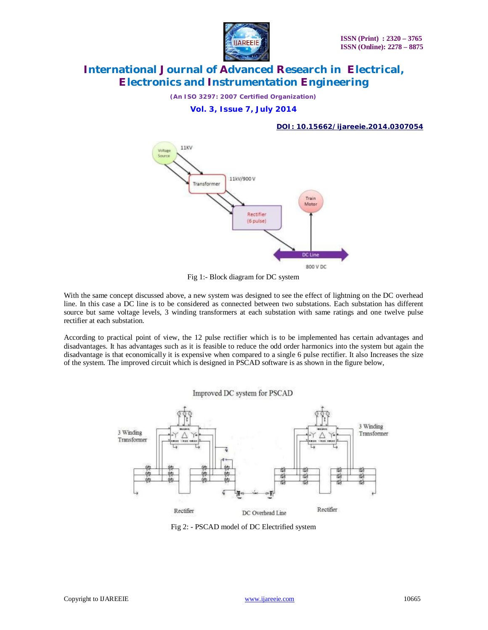

*(An ISO 3297: 2007 Certified Organization)*

**Vol. 3, Issue 7, July 2014**

### **DOI: 10.15662/ijareeie.2014.0307054**



Fig 1:- Block diagram for DC system

With the same concept discussed above, a new system was designed to see the effect of lightning on the DC overhead line. In this case a DC line is to be considered as connected between two substations. Each substation has different source but same voltage levels, 3 winding transformers at each substation with same ratings and one twelve pulse rectifier at each substation.

According to practical point of view, the 12 pulse rectifier which is to be implemented has certain advantages and disadvantages. It has advantages such as it is feasible to reduce the odd order harmonics into the system but again the disadvantage is that economically it is expensive when compared to a single 6 pulse rectifier. It also Increases the size of the system. The improved circuit which is designed in PSCAD software is as shown in the figure below,

Improved DC system for PSCAD



Fig 2: - PSCAD model of DC Electrified system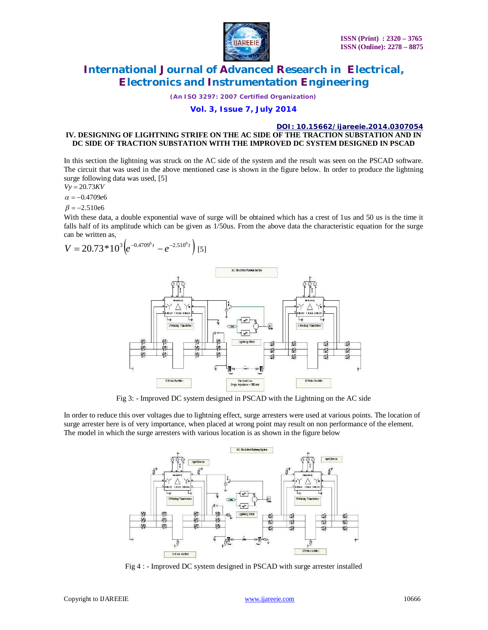

*(An ISO 3297: 2007 Certified Organization)*

# **Vol. 3, Issue 7, July 2014**

#### **DOI: 10.15662/ijareeie.2014.0307054 IV. DESIGNING OF LIGHTNING STRIFE ON THE AC SIDE OF THE TRACTION SUBSTATION AND IN DC SIDE OF TRACTION SUBSTATION WITH THE IMPROVED DC SYSTEM DESIGNED IN PSCAD**

In this section the lightning was struck on the AC side of the system and the result was seen on the PSCAD software. The circuit that was used in the above mentioned case is shown in the figure below. In order to produce the lightning surge following data was used, [5]

$$
Vy = 20.73KV
$$

 $\alpha = -0.4709e6$ 

 $\beta = -2.510e6$ 

With these data, a double exponential wave of surge will be obtained which has a crest of 1us and 50 us is the time it falls half of its amplitude which can be given as 1/50us. From the above data the characteristic equation for the surge can be written as,

$$
V = 20.73 * 10^3 \left( e^{-0.4709^6 t} - e^{-2.510^6 t} \right)
$$
 [5]



Fig 3: - Improved DC system designed in PSCAD with the Lightning on the AC side

In order to reduce this over voltages due to lightning effect, surge arresters were used at various points. The location of surge arrester here is of very importance, when placed at wrong point may result on non performance of the element. The model in which the surge arresters with various location is as shown in the figure below



Fig 4 : - Improved DC system designed in PSCAD with surge arrester installed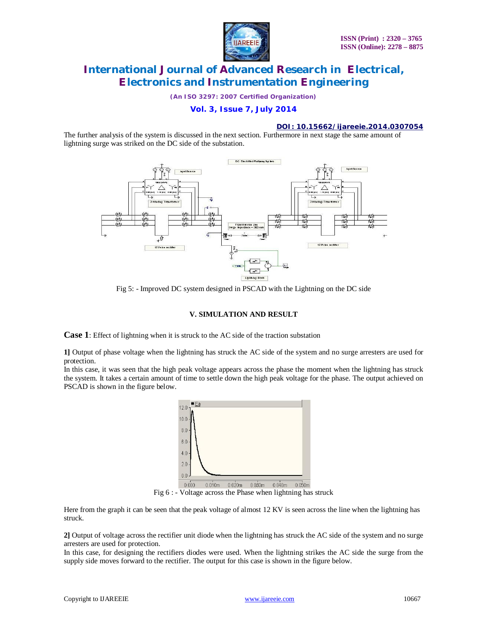

*(An ISO 3297: 2007 Certified Organization)*

# **Vol. 3, Issue 7, July 2014**

#### **DOI: 10.15662/ijareeie.2014.0307054**

The further analysis of the system is discussed in the next section. Furthermore in next stage the same amount of lightning surge was striked on the DC side of the substation.



Fig 5: - Improved DC system designed in PSCAD with the Lightning on the DC side

### **V. SIMULATION AND RESULT**

**Case 1**: Effect of lightning when it is struck to the AC side of the traction substation

**1]** Output of phase voltage when the lightning has struck the AC side of the system and no surge arresters are used for protection.

In this case, it was seen that the high peak voltage appears across the phase the moment when the lightning has struck the system. It takes a certain amount of time to settle down the high peak voltage for the phase. The output achieved on PSCAD is shown in the figure below.



Fig 6 : - Voltage across the Phase when lightning has struck

Here from the graph it can be seen that the peak voltage of almost 12 KV is seen across the line when the lightning has struck.

**2]** Output of voltage across the rectifier unit diode when the lightning has struck the AC side of the system and no surge arresters are used for protection.

In this case, for designing the rectifiers diodes were used. When the lightning strikes the AC side the surge from the supply side moves forward to the rectifier. The output for this case is shown in the figure below.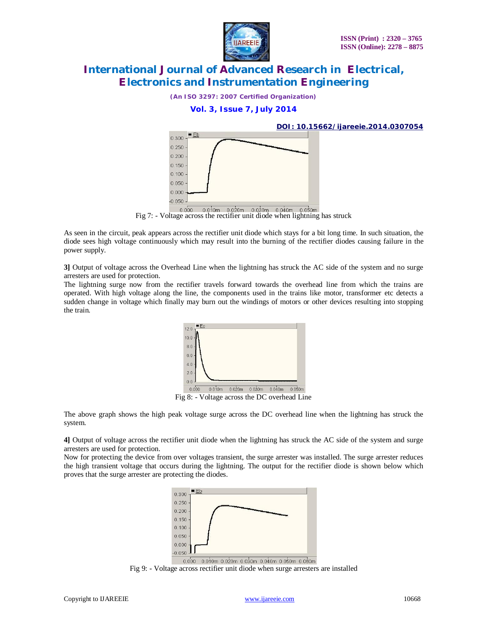

*(An ISO 3297: 2007 Certified Organization)*

**Vol. 3, Issue 7, July 2014**



Fig 7: - Voltage across the rectifier unit diode when lightning has struck

As seen in the circuit, peak appears across the rectifier unit diode which stays for a bit long time. In such situation, the diode sees high voltage continuously which may result into the burning of the rectifier diodes causing failure in the power supply.

**3]** Output of voltage across the Overhead Line when the lightning has struck the AC side of the system and no surge arresters are used for protection.

The lightning surge now from the rectifier travels forward towards the overhead line from which the trains are operated. With high voltage along the line, the components used in the trains like motor, transformer etc detects a sudden change in voltage which finally may burn out the windings of motors or other devices resulting into stopping the train.



Fig 8: - Voltage across the DC overhead Line

The above graph shows the high peak voltage surge across the DC overhead line when the lightning has struck the system.

**4]** Output of voltage across the rectifier unit diode when the lightning has struck the AC side of the system and surge arresters are used for protection.

Now for protecting the device from over voltages transient, the surge arrester was installed. The surge arrester reduces the high transient voltage that occurs during the lightning. The output for the rectifier diode is shown below which proves that the surge arrester are protecting the diodes.



0.000 0.010m 0.020m 0.030m 0.040m 0.050m 0.060m

Fig 9: - Voltage across rectifier unit diode when surge arresters are installed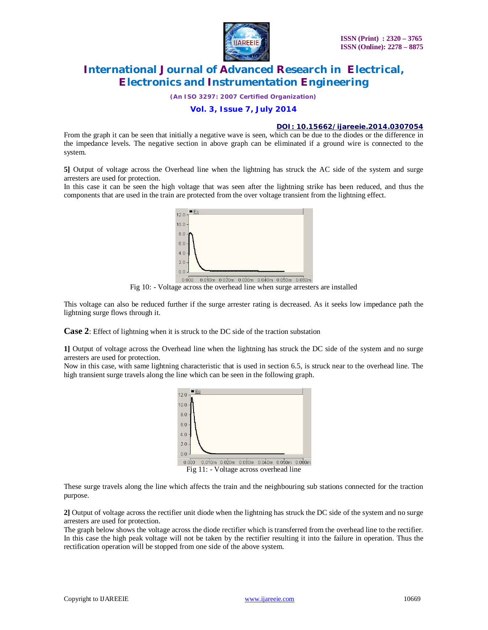

*(An ISO 3297: 2007 Certified Organization)*

### **Vol. 3, Issue 7, July 2014**

### **DOI: 10.15662/ijareeie.2014.0307054**

From the graph it can be seen that initially a negative wave is seen, which can be due to the diodes or the difference in the impedance levels. The negative section in above graph can be eliminated if a ground wire is connected to the system.

**5]** Output of voltage across the Overhead line when the lightning has struck the AC side of the system and surge arresters are used for protection.

In this case it can be seen the high voltage that was seen after the lightning strike has been reduced, and thus the components that are used in the train are protected from the over voltage transient from the lightning effect.



Fig 10: - Voltage across the overhead line when surge arresters are installed

This voltage can also be reduced further if the surge arrester rating is decreased. As it seeks low impedance path the lightning surge flows through it.

**Case 2**: Effect of lightning when it is struck to the DC side of the traction substation

**1]** Output of voltage across the Overhead line when the lightning has struck the DC side of the system and no surge arresters are used for protection.

Now in this case, with same lightning characteristic that is used in section 6.5, is struck near to the overhead line. The high transient surge travels along the line which can be seen in the following graph.



These surge travels along the line which affects the train and the neighbouring sub stations connected for the traction purpose.

**2]** Output of voltage across the rectifier unit diode when the lightning has struck the DC side of the system and no surge arresters are used for protection.

The graph below shows the voltage across the diode rectifier which is transferred from the overhead line to the rectifier. In this case the high peak voltage will not be taken by the rectifier resulting it into the failure in operation. Thus the rectification operation will be stopped from one side of the above system.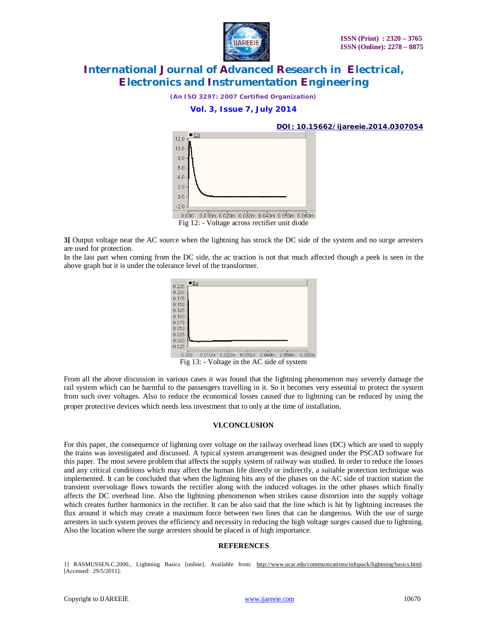

*(An ISO 3297: 2007 Certified Organization)*

### **Vol. 3, Issue 7, July 2014**



**3]** Output voltage near the AC source when the lightning has struck the DC side of the system and no surge arresters are used for protection.

In the last part when coming from the DC side, the ac traction is not that much affected though a peek is seen in the above graph but it is under the tolerance level of the transformer.



Fig 13: - Voltage in the AC side of system

From all the above discussion in various cases it was found that the lightning phenomenon may severely damage the rail system which can be harmful to the passengers travelling in it. So it becomes very essential to protect the system from such over voltages. Also to reduce the economical losses caused due to lightning can be reduced by using the proper protective devices which needs less investment that to only at the time of installation.

### **VI.CONCLUSION**

For this paper, the consequence of lightning over voltage on the railway overhead lines (DC) which are used to supply the trains was investigated and discussed. A typical system arrangement was designed under the PSCAD software for this paper. The most severe problem that affects the supply system of railway was studied. In order to reduce the losses and any critical conditions which may affect the human life directly or indirectly, a suitable protection technique was implemented. It can be concluded that when the lightning hits any of the phases on the AC side of traction station the transient overvoltage flows towards the rectifier along with the induced voltages in the other phases which finally affects the DC overhead line. Also the lightning phenomenon when strikes cause distortion into the supply voltage which creates further harmonics in the rectifier. It can be also said that the line which is hit by lightning increases the flux around it which may create a maximum force between two lines that can be dangerous. With the use of surge arresters in such system proves the efficiency and necessity in reducing the high voltage surges caused due to lightning. Also the location where the surge arresters should be placed is of high importance.

#### **REFERENCES**

1] RASMUSSEN.C.2000., Lightning Basics [online]. Available from: http://www.ucar.edu/communications/infopack/lightning/basics.html. [Accessed: 29/5/2011].